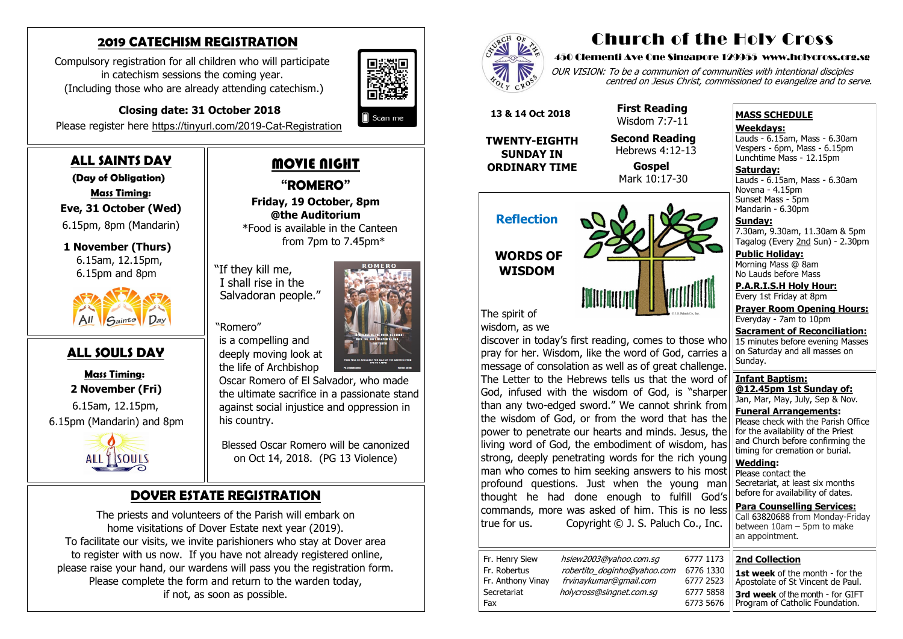#### **2019 CATECHISM REGISTRATION**

Compulsory registration for all children who will participate in catechism sessions the coming year. (Including those who are already attending catechism.)



# **Closing date: 31 October 2018**

Please register here [https://tinyurl.com/2019](https://tinyurl.com/2019-Cat-Registration)-Cat-Registration

### **ALL SAINTS DAY**

 **(Day of Obligation)**

 **Mass Timing:** 

 **Eve, 31 October (Wed)** 

6.15pm, 8pm (Mandarin)

 **1 November (Thurs)** 6.15am, 12.15pm, 6.15pm and 8pm



#### **ALL SOULS DAY**

 **Mass Timing: 2 November (Fri)**

 6.15am, 12.15pm, 6.15pm (Mandarin) and 8pm



# MOVIE NIGHT

**"ROMERO" Friday, 19 October, 8pm @the Auditorium** \*Food is available in the Canteen from 7pm to 7.45pm\*

"If they kill me, I shall rise in the Salvadoran people."

#### "Romero"

 is a compelling and deeply moving look at the life of Archbishop

OUR VISION: To be a communion of communities with intentional disciples centred on Jesus Christ, commissioned to evangelize and to serve.



Blessed Oscar Romero will be canonized on Oct 14, 2018. (PG 13 Violence)

**Saturday:** Lauds - 6.15am, Mass - 6.30am Novena - 4.15pm Sunset Mass - 5pm Mandarin - 6.30pm

## **DOVER ESTATE REGISTRATION**

The priests and volunteers of the Parish will embark on home visitations of Dover Estate next year (2019). To facilitate our visits, we invite parishioners who stay at Dover area to register with us now. If you have not already registered online, please raise your hand, our wardens will pass you the registration form. Please complete the form and return to the warden today, if not, as soon as possible.



# Church of the Holy Cross

#### 450 Clementi Ave One Singapore 129955 www.holycross.org.sg

| 6777 1173 |  |
|-----------|--|
| 6776 1330 |  |
| 6777 2523 |  |
| 6777 5858 |  |
| 6773 5676 |  |

Fax 6773 5676

Fr. Henry Siew hsiew2003@yahoo.com.sg Fr. Robertus *robertito doginho@yahoo.com* Fr. Anthony Vinay frvinaykumar@gmail.com Secretariat holycross@singnet.com.sq

#### **MASS SCHEDULE**

**Weekdays:**

Lauds - 6.15am, Mass - 6.30am Vespers - 6pm, Mass - 6.15pm Lunchtime Mass - 12.15pm

**Sunday:** 7.30am, 9.30am, 11.30am & 5pm Tagalog (Every 2nd Sun) - 2.30pm

**Public Holiday:**  Morning Mass @ 8am No Lauds before Mass

**P.A.R.I.S.H Holy Hour:** Every 1st Friday at 8pm

**Prayer Room Opening Hours:** Everyday - 7am to 10pm

**Sacrament of Reconciliation:** 15 minutes before evening Masses on Saturday and all masses on Sunday.

**Infant Baptism: @12.45pm 1st Sunday of:** Jan, Mar, May, July, Sep & Nov.

**Funeral Arrangements:**  Please check with the Parish Office for the availability of the Priest and Church before confirming the timing for cremation or burial.

**Wedding:**  Please contact the Secretariat, at least six months before for availability of dates.

**Para Counselling Services:** Call [63820688](tel:+6563820688) from Monday-Friday between 10am – 5pm to make an appointment.

**Reflection WORDS OF WISDOM**



The spirit of wisdom, as we

discover in today's first reading, comes to those who pray for her. Wisdom, like the word of God, carries a message of consolation as well as of great challenge. The Letter to the Hebrews tells us that the word of God, infused with the wisdom of God, is "sharper than any two-edged sword." We cannot shrink from the wisdom of God, or from the word that has the power to penetrate our hearts and minds. Jesus, the living word of God, the embodiment of wisdom, has strong, deeply penetrating words for the rich young man who comes to him seeking answers to his most profound questions. Just when the young man thought he had done enough to fulfill God's commands, more was asked of him. This is no less true for us.Copyright © J. S. Paluch Co., Inc.

 **13 & 14 Oct 2018**

**TWENTY-EIGHTH SUNDAY IN ORDINARY TIME**

 **First Reading** Wisdom 7:7-11

 **Second Reading** Hebrews 4:12-13

> **Gospel** Mark 10:17-30

#### **2nd Collection**

**1st week** of the month - for the Apostolate of St Vincent de Paul. **3rd week** of the month - for GIFT Program of Catholic Foundation.